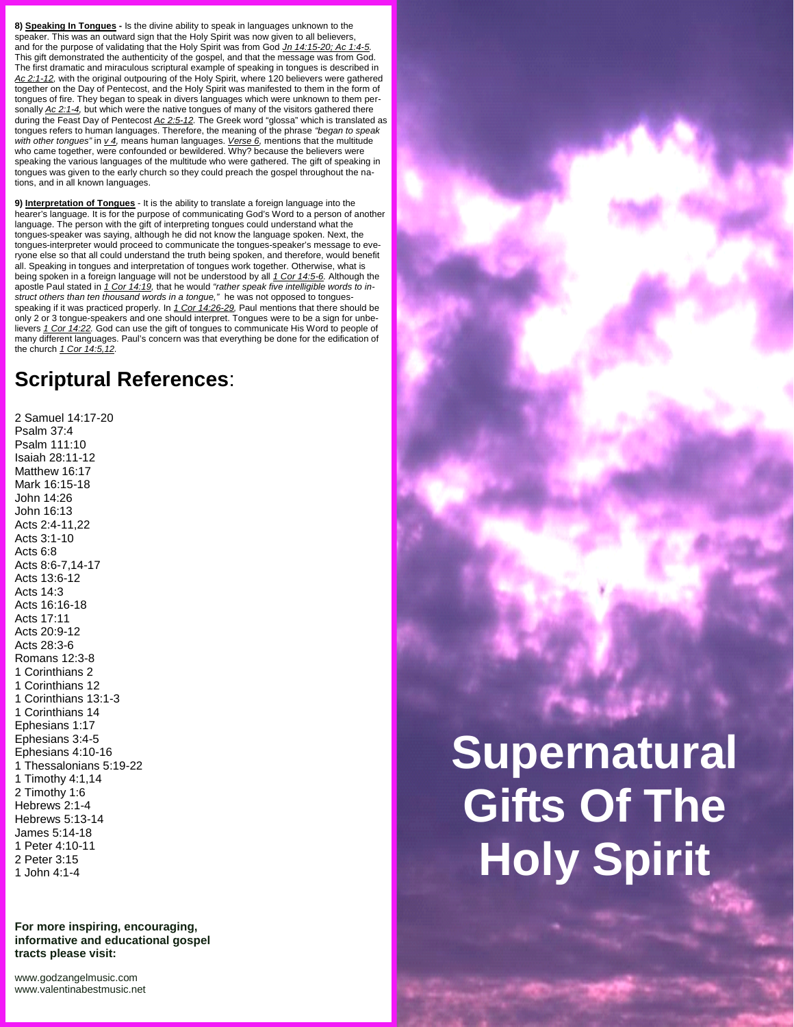**8) Speaking In Tongues -** Is the divine ability to speak in languages unknown to the speaker. This was an outward sign that the Holy Spirit was now given to all believers, and for the purpose of validating that the Holy Spirit was from God *Jn 14:15-20; Ac 1:4-5.* This gift demonstrated the authenticity of the gospel, and that the message was from God. The first dramatic and miraculous scriptural example of speaking in tongues is described in *Ac 2:1-12,* with the original outpouring of the Holy Spirit, where 120 believers were gathered together on the Day of Pentecost, and the Holy Spirit was manifested to them in the form of tongues of fire. They began to speak in divers languages which were unknown to them per sonally *Ac 2:1-4,* but which were the native tongues of many of the visitors gathered there during the Feast Day of Pentecost *Ac 2:5-12.* The Greek word "glossa" which is translated as tongues refers to human languages. Therefore, the meaning of the phrase *"began to speak with other tongues"* in *v 4,* means human languages. *Verse 6,* mentions that the multitude who came together, were confounded or bewildered. Why? because the believers were speaking the various languages of the multitude who were gathered. The gift of speaking in

**9) Interpretation of Tongues** - It is the ability to translate a foreign language into the hearer's language. It is for the purpose of communicating God's Word to a person of another language. The person with the gift of interpreting tongues could understand what the tongues-speaker was saying, although he did not know the language spoken. Next, the tongues-interpreter would proceed to communicate the tongues-speaker's message to everyone else so that all could understand the truth being spoken, and therefore, would benefit all. Speaking in tongues and interpretation of tongues work together. Otherwise, what is being spoken in a foreign language will not be understood by all *1 Cor 14:5-6.* Although the apostle Paul stated in *1 Cor 14:19,* that he would *"rather speak five intelligible words to in struct others than ten thousand words in a tongue,"* he was not opposed to tongues speaking if it was practiced properly. In *1 Cor 14:26-29,* Paul mentions that there should be only 2 or 3 tongue-speakers and one should interpret. Tongues were to be a sign for unbelievers *1 Cor 14:22.* God can use the gift of tongues to communicate His Word to people of many different languages. Paul's concern was that everything be done for the edification of the church *1 Cor 14:5,12.*

# **Scriptural References**:

2 Samuel 14:17-20 Psalm 37:4 Psalm 111:10 Isaiah 28:11-12 Matthew 16:17 Mark 16:15-18 John 14:26 John 16:13 Acts 2:4-11,22 Acts 3:1-10 Acts 6:8 Acts 8:6-7,14-17 Acts 13:6-12 Acts 14:3 Acts 16:16-18 Acts 17:11 Acts 20:9-12 Acts 28:3-6 Romans 12:3-8 1 Corinthians 2 1 Corinthians 12 1 Corinthians 13:1-3 1 Corinthians 14 Ephesians 1:17 Ephesians 3:4-5 Ephesians 4:10-16 1 Thessalonians 5:19-22 1 Timothy 4:1,14 2 Timothy 1:6 Hebrews 2:1-4 Hebrews 5:13-14 James 5:14-18 1 Peter 4:10-11 2 Peter 3:15 1 John 4:1-4

**For more inspiring, encouraging, informative and educational gospel tracts please visit:**

<www.godzangelmusic.com> <www.valentinabestmusic.net>



# tongues was given to the early church so they could preach the gospel throughout the nations, and in all known languages.